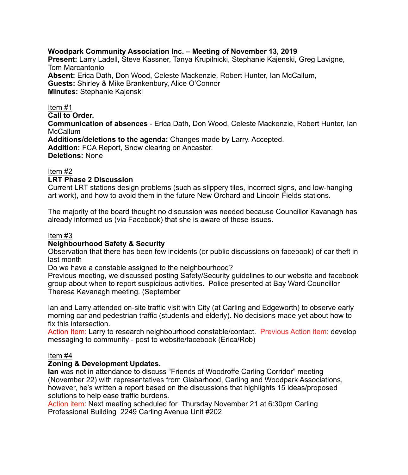## **Woodpark Community Association Inc. – Meeting of November 13, 2019**

**Present:** Larry Ladell, Steve Kassner, Tanya Krupilnicki, Stephanie Kajenski, Greg Lavigne, Tom Marcantonio **Absent:** Erica Dath, Don Wood, Celeste Mackenzie, Robert Hunter, Ian McCallum, **Guests:** Shirley & Mike Brankenbury, Alice O'Connor **Minutes:** Stephanie Kajenski

### Item #1

**Call to Order.** 

**Communication of absences** - Erica Dath, Don Wood, Celeste Mackenzie, Robert Hunter, Ian **McCallum** 

**Additions/deletions to the agenda:** Changes made by Larry. Accepted.

**Addition:** FCA Report, Snow clearing on Ancaster.

**Deletions:** None

# Item #2

## **LRT Phase 2 Discussion**

Current LRT stations design problems (such as slippery tiles, incorrect signs, and low-hanging art work), and how to avoid them in the future New Orchard and Lincoln Fields stations.

The majority of the board thought no discussion was needed because Councillor Kavanagh has already informed us (via Facebook) that she is aware of these issues.

## Item #3

## **Neighbourhood Safety & Security**

Observation that there has been few incidents (or public discussions on facebook) of car theft in last month

Do we have a constable assigned to the neighbourhood?

Previous meeting, we discussed posting Safety/Security guidelines to our website and facebook group about when to report suspicious activities. Police presented at Bay Ward Councillor Theresa Kavanagh meeting. (September

Ian and Larry attended on-site traffic visit with City (at Carling and Edgeworth) to observe early morning car and pedestrian traffic (students and elderly). No decisions made yet about how to fix this intersection.

Action Item: Larry to research neighbourhood constable/contact. Previous Action item: develop messaging to community - post to website/facebook (Erica/Rob)

# Item #4

## **Zoning & Development Updates.**

**Ian** was not in attendance to discuss "Friends of Woodroffe Carling Corridor" meeting (November 22) with representatives from Glabarhood, Carling and Woodpark Associations, however, he's written a report based on the discussions that highlights 15 ideas/proposed solutions to help ease traffic burdens.

Action item: Next meeting scheduled for Thursday November 21 at 6:30pm Carling Professional Building 2249 Carling Avenue Unit #202